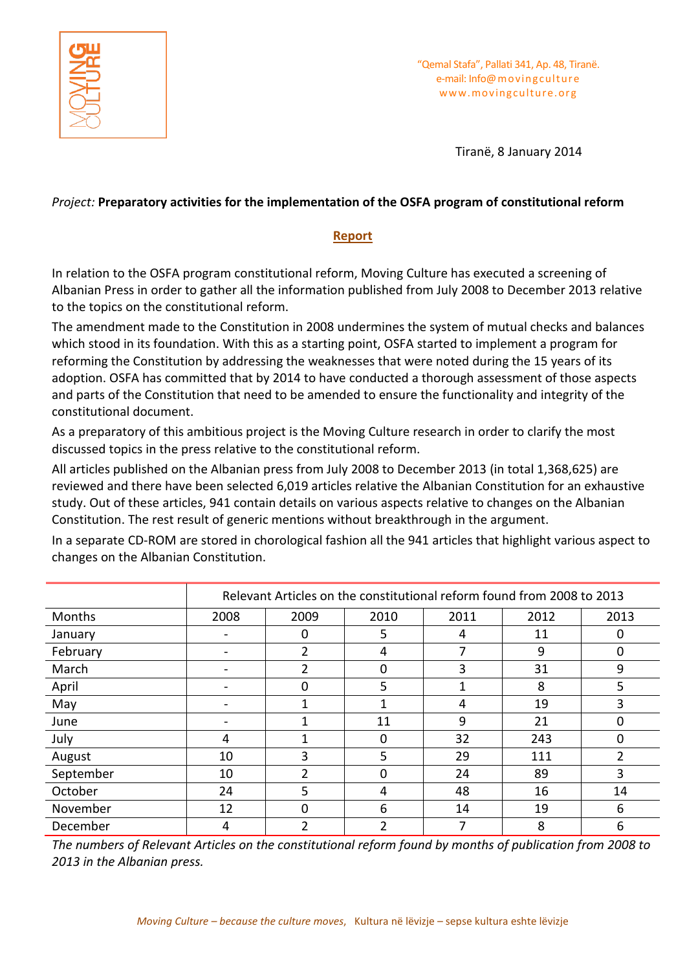

"Qemal Stafa", Pallati 341, Ap. 48, Tiranë. e-mail: Info@movingculture www.movingculture.org

Tiranë, 8 January 2014

## *Project:* **Preparatory activities for the implementation of the OSFA program of constitutional reform**

## **Report**

In relation to the OSFA program constitutional reform, Moving Culture has executed a screening of Albanian Press in order to gather all the information published from July 2008 to December 2013 relative to the topics on the constitutional reform.

The amendment made to the Constitution in 2008 undermines the system of mutual checks and balances which stood in its foundation. With this as a starting point, OSFA started to implement a program for reforming the Constitution by addressing the weaknesses that were noted during the 15 years of its adoption. OSFA has committed that by 2014 to have conducted a thorough assessment of those aspects and parts of the Constitution that need to be amended to ensure the functionality and integrity of the constitutional document.

As a preparatory of this ambitious project is the Moving Culture research in order to clarify the most discussed topics in the press relative to the constitutional reform.

All articles published on the Albanian press from July 2008 to December 2013 (in total 1,368,625) are reviewed and there have been selected 6,019 articles relative the Albanian Constitution for an exhaustive study. Out of these articles, 941 contain details on various aspects relative to changes on the Albanian Constitution. The rest result of generic mentions without breakthrough in the argument.

In a separate CD-ROM are stored in chorological fashion all the 941 articles that highlight various aspect to changes on the Albanian Constitution.

|           | Relevant Articles on the constitutional reform found from 2008 to 2013 |      |      |      |      |          |  |  |  |  |
|-----------|------------------------------------------------------------------------|------|------|------|------|----------|--|--|--|--|
| Months    | 2008                                                                   | 2009 | 2010 | 2011 | 2012 | 2013     |  |  |  |  |
| January   |                                                                        |      | 5    | 4    | 11   | 0        |  |  |  |  |
| February  |                                                                        | 2    | 4    | 7    | 9    | $\Omega$ |  |  |  |  |
| March     |                                                                        | 2    | 0    | 3    | 31   | 9        |  |  |  |  |
| April     |                                                                        | 0    | 5    | 1    | 8    | 5        |  |  |  |  |
| May       |                                                                        |      |      | 4    | 19   | 3        |  |  |  |  |
| June      |                                                                        |      | 11   | 9    | 21   | 0        |  |  |  |  |
| July      | 4                                                                      |      | 0    | 32   | 243  | $\Omega$ |  |  |  |  |
| August    | 10                                                                     | 3    | 5    | 29   | 111  | 2        |  |  |  |  |
| September | 10                                                                     | າ    |      | 24   | 89   | 3        |  |  |  |  |
| October   | 24                                                                     | 5    | 4    | 48   | 16   | 14       |  |  |  |  |
| November  | 12                                                                     | 0    | 6    | 14   | 19   | 6        |  |  |  |  |
| December  | 4                                                                      | ำ    | ำ    | 7    | 8    | 6        |  |  |  |  |

*The numbers of Relevant Articles on the constitutional reform found by months of publication from 2008 to 2013 in the Albanian press.*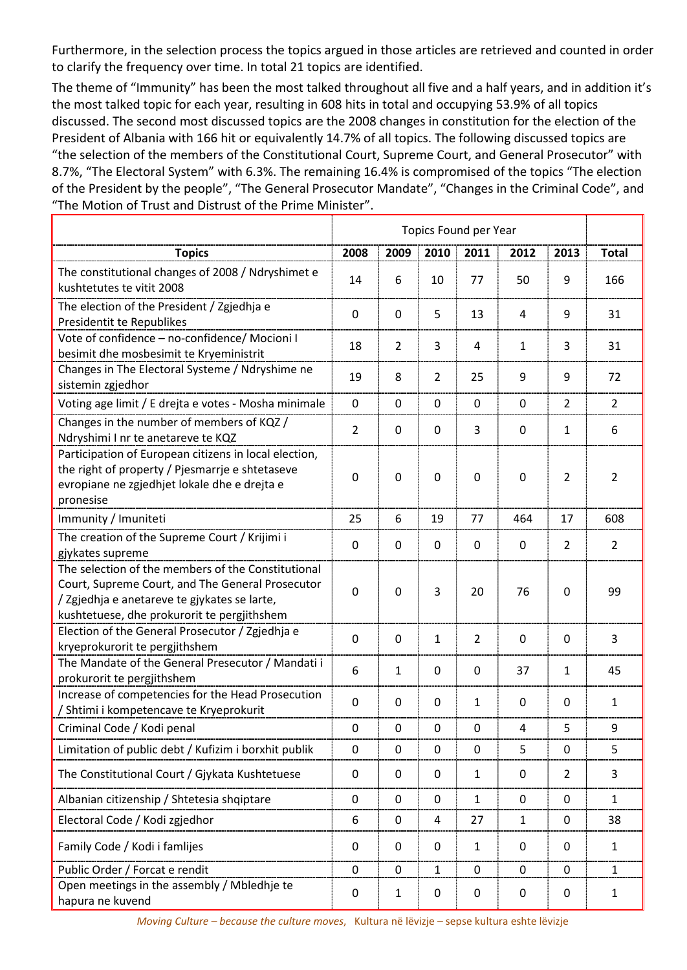Furthermore, in the selection process the topics argued in those articles are retrieved and counted in order to clarify the frequency over time. In total 21 topics are identified.

The theme of "Immunity" has been the most talked throughout all five and a half years, and in addition it's the most talked topic for each year, resulting in 608 hits in total and occupying 53.9% of all topics discussed. The second most discussed topics are the 2008 changes in constitution for the election of the President of Albania with 166 hit or equivalently 14.7% of all topics. The following discussed topics are "the selection of the members of the Constitutional Court, Supreme Court, and General Prosecutor" with 8.7%, "The Electoral System" with 6.3%. The remaining 16.4% is compromised of the topics "The election of the President by the people", "The General Prosecutor Mandate", "Changes in the Criminal Code", and "The Motion of Trust and Distrust of the Prime Minister".

| <b>Topics</b>                                                                                                                                                                                         | 2008           | 2009           | 2010           | 2011           | 2012           | 2013           | <b>Total</b>   |
|-------------------------------------------------------------------------------------------------------------------------------------------------------------------------------------------------------|----------------|----------------|----------------|----------------|----------------|----------------|----------------|
| The constitutional changes of 2008 / Ndryshimet e<br>kushtetutes te vitit 2008                                                                                                                        | 14             | 6              | 10             | 77             | 50             | 9              | 166            |
| The election of the President / Zgjedhja e<br>Presidentit te Republikes                                                                                                                               | $\mathbf 0$    | $\mathbf 0$    | 5              | 13             | $\overline{4}$ | 9              | 31             |
| Vote of confidence - no-confidence/ Mocioni I<br>besimit dhe mosbesimit te Kryeministrit                                                                                                              | 18             | $\overline{2}$ | 3              | 4              | 1              | 3              | 31             |
| Changes in The Electoral Systeme / Ndryshime ne<br>sistemin zgjedhor                                                                                                                                  | 19             | 8              | $\overline{2}$ | 25             | 9              | 9              | 72             |
| Voting age limit / E drejta e votes - Mosha minimale                                                                                                                                                  | $\mathbf 0$    | $\mathbf 0$    | $\mathbf 0$    | $\mathbf 0$    | $\mathbf 0$    | $\overline{2}$ | $\overline{2}$ |
| Changes in the number of members of KQZ /<br>Ndryshimi I nr te anetareve te KQZ                                                                                                                       | $\overline{2}$ | 0              | $\mathbf 0$    | 3              | $\mathbf 0$    | $\mathbf{1}$   | 6              |
| Participation of European citizens in local election,<br>the right of property / Pjesmarrje e shtetaseve<br>evropiane ne zgjedhjet lokale dhe e drejta e<br>pronesise                                 | 0              | $\mathbf 0$    | 0              | 0              | $\mathbf 0$    | $\overline{2}$ | 2              |
| Immunity / Imuniteti                                                                                                                                                                                  | 25             | 6              | 19             | 77             | 464            | 17             | 608            |
| The creation of the Supreme Court / Krijimi i<br>gjykates supreme                                                                                                                                     | 0              | $\mathbf 0$    | $\mathbf 0$    | $\mathbf 0$    | 0              | $\overline{2}$ | $\overline{2}$ |
| The selection of the members of the Constitutional<br>Court, Supreme Court, and The General Prosecutor<br>/ Zgjedhja e anetareve te gjykates se larte,<br>kushtetuese, dhe prokurorit te pergjithshem |                | $\mathbf 0$    | $\overline{3}$ | 20             | 76             | 0              | 99             |
| Election of the General Prosecutor / Zgjedhja e<br>kryeprokurorit te pergjithshem                                                                                                                     | $\mathbf 0$    | $\mathbf 0$    | $\mathbf{1}$   | $\overline{2}$ | $\mathbf 0$    | $\mathbf 0$    | 3              |
| The Mandate of the General Presecutor / Mandati i<br>prokurorit te pergjithshem                                                                                                                       | 6              | $\mathbf{1}$   | 0              | 0              | 37             | 1              | 45             |
| Increase of competencies for the Head Prosecution<br>/ Shtimi i kompetencave te Kryeprokurit                                                                                                          | $\mathbf 0$    | $\mathbf 0$    | $\mathbf 0$    | $\mathbf{1}$   | $\mathbf 0$    | 0              | 1              |
| Criminal Code / Kodi penal                                                                                                                                                                            | $\mathbf 0$    | $\mathbf 0$    | $\mathbf 0$    | $\mathbf 0$    | $\overline{4}$ | 5              | 9              |
| Limitation of public debt / Kufizim i borxhit publik                                                                                                                                                  | 0              | $\mathbf 0$    | $\mathbf 0$    | $\mathbf 0$    | 5              | $\mathbf 0$    | 5              |
| The Constitutional Court / Gjykata Kushtetuese                                                                                                                                                        | $\mathbf 0$    | $\pmb{0}$      | $\mathbf 0$    | $\mathbf{1}$   | $\pmb{0}$      | $\overline{2}$ | 3              |
| Albanian citizenship / Shtetesia shqiptare                                                                                                                                                            | 0              | $\mathbf 0$    | $\mathbf 0$    | $\mathbf{1}$   | 0              | $\mathbf 0$    | $\mathbf{1}$   |
| Electoral Code / Kodi zgjedhor                                                                                                                                                                        | 6              | $\mathbf 0$    | 4              | 27             | $\mathbf{1}$   | $\mathbf 0$    | 38             |
| Family Code / Kodi i famlijes                                                                                                                                                                         | $\mathbf 0$    | 0              | $\pmb{0}$      | $\mathbf{1}$   | 0              | 0              | $\mathbf{1}$   |
| Public Order / Forcat e rendit                                                                                                                                                                        |                | $\mathbf 0$    | $\mathbf{1}$   | $\mathbf 0$    | 0              | $\pmb{0}$      | $\mathbf{1}$   |
| Open meetings in the assembly / Mbledhje te<br>hapura ne kuvend                                                                                                                                       |                | $\mathbf{1}$   | $\pmb{0}$      | 0              | $\mathbf 0$    | 0              | $\mathbf{1}$   |

*Moving Culture – because the culture moves*, Kultura në lëvizje – sepse kultura eshte lëvizje